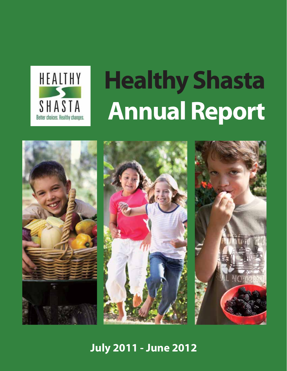

# **Healthy Shasta Annual Report**





## **July 2011 - June 2012**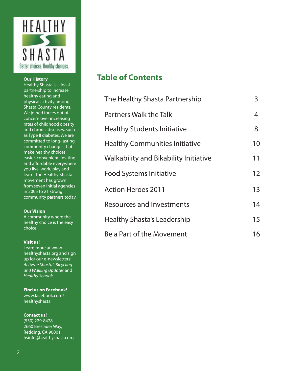

#### **Our History**

Healthy Shasta is a local partnership to increase healthy eating and physical activity among Shasta County residents. We joined forces out of concern over increasing rates of childhood obesity and chronic diseases, such as Type II diabetes. We are committed to long-lasting community changes that make healthy choices easier, convenient, inviting and affordable everywhere you live, work, play and learn. The Healthy Shasta movement has grown from seven initial agencies in 2005 to 21 strong community partners today.

#### **Our Vision**

A community where the healthy choice is the easy choice.

#### **Visit us!**

Learn more at www. healthyshasta.org and sign up for our e-newsletters: Activate Shasta!, Bicycling and Walking Updates and Healthy Schools.

**Find us on Facebook!**  www.facebook.com/ healthyshasta

**Contact us!** (530) 229-8428 2660 Breslauer Way, Redding, CA 96001 hsinfo@healthyshasta.org

## **Table of Contents**

| The Healthy Shasta Partnership               | 3  |
|----------------------------------------------|----|
| <b>Partners Walk the Talk</b>                | 4  |
| <b>Healthy Students Initiative</b>           | 8  |
| <b>Healthy Communities Initiative</b>        | 10 |
| <b>Walkability and Bikability Initiative</b> | 11 |
| <b>Food Systems Initiative</b>               | 12 |
| <b>Action Heroes 2011</b>                    | 13 |
| <b>Resources and Investments</b>             | 14 |
| Healthy Shasta's Leadership                  | 15 |
| Be a Part of the Movement                    | 16 |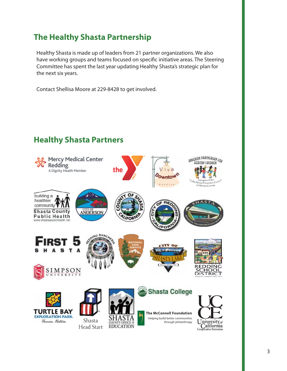## **The Healthy Shasta Partnership**

Healthy Shasta is made up of leaders from 21 partner organizations. We also have working groups and teams focused on specific initiative areas. The Steering Committee has spent the last year updating Healthy Shasta's strategic plan for the next six years.

Contact Shellisa Moore at 229-8428 to get involved.

## **Healthy Shasta PartnersMercy Medical Center** Redding. the A Dignity Health Member building a healthier

**ANDERSON** 

community

**Shasta County Public Health** www.shastapublichealth.net



**ONDERSON PARTNERSHIP FOR** 

**HEALTHY CHILDREN** 



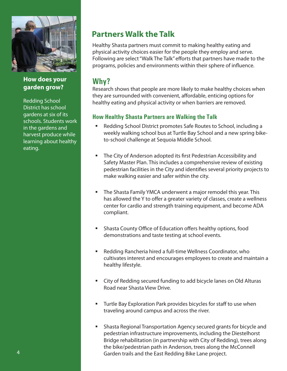

**How does your garden grow?**

Redding School District has school gardens at six of its schools. Students work in the gardens and harvest produce while learning about healthy eating.

## **Partners Walk the Talk**

Healthy Shasta partners must commit to making healthy eating and physical activity choices easier for the people they employ and serve. Following are select "Walk The Talk" efforts that partners have made to the programs, policies and environments within their sphere of influence.

## **Why?**

Research shows that people are more likely to make healthy choices when they are surrounded with convenient, affordable, enticing options for healthy eating and physical activity or when barriers are removed.

#### **How Healthy Shasta Partners are Walking the Talk**

- Redding School District promotes Safe Routes to School, including a weekly walking school bus at Turtle Bay School and a new spring biketo-school challenge at Sequoia Middle School.
- The City of Anderson adopted its first Pedestrian Accessibility and Safety Master Plan. This includes a comprehensive review of existing pedestrian facilities in the City and identifies several priority projects to make walking easier and safer within the city.
- The Shasta Family YMCA underwent a major remodel this year. This has allowed the Y to offer a greater variety of classes, create a wellness center for cardio and strength training equipment, and become ADA compliant.
- Shasta County Office of Education offers healthy options, food demonstrations and taste testing at school events.
- Redding Rancheria hired a full-time Wellness Coordinator, who cultivates interest and encourages employees to create and maintain a healthy lifestyle.
- City of Redding secured funding to add bicycle lanes on Old Alturas Road near Shasta View Drive.
- Turtle Bay Exploration Park provides bicycles for staff to use when traveling around campus and across the river.
- Shasta Regional Transportation Agency secured grants for bicycle and pedestrian infrastructure improvements, including the Diestelhorst Bridge rehabilitation (in partnership with City of Redding), trees along the bike/pedestrian path in Anderson, trees along the McConnell Garden trails and the East Redding Bike Lane project.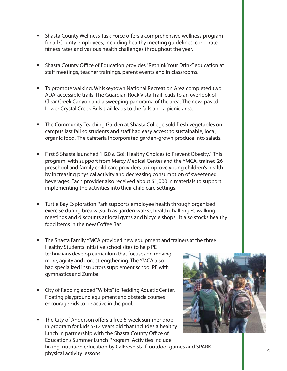- **Shasta County Wellness Task Force offers a comprehensive wellness program** for all County employees, including healthy meeting guidelines, corporate fitness rates and various health challenges throughout the year.
- Shasta County Office of Education provides "Rethink Your Drink" education at staff meetings, teacher trainings, parent events and in classrooms.
- To promote walking, Whiskeytown National Recreation Area completed two ADA-accessible trails. The Guardian Rock Vista Trail leads to an overlook of Clear Creek Canyon and a sweeping panorama of the area. The new, paved Lower Crystal Creek Falls trail leads to the falls and a picnic area.
- The Community Teaching Garden at Shasta College sold fresh vegetables on campus last fall so students and staff had easy access to sustainable, local, organic food. The cafeteria incorporated garden-grown produce into salads.
- First 5 Shasta launched "H20 & Go!: Healthy Choices to Prevent Obesity." This program, with support from Mercy Medical Center and the YMCA, trained 26 preschool and family child care providers to improve young children's health by increasing physical activity and decreasing consumption of sweetened beverages. Each provider also received about \$1,000 in materials to support implementing the activities into their child care settings.
- Turtle Bay Exploration Park supports employee health through organized exercise during breaks (such as garden walks), health challenges, walking meetings and discounts at local gyms and bicycle shops. It also stocks healthy food items in the new Coffee Bar.
- The Shasta Family YMCA provided new equipment and trainers at the three Healthy Students Initiative school sites to help PE technicians develop curriculum that focuses on moving more, agility and core strengthening. The YMCA also had specialized instructors supplement school PE with gymnastics and Zumba.
- City of Redding added "Wibits" to Redding Aquatic Center. Floating playground equipment and obstacle courses encourage kids to be active in the pool.
- The City of Anderson offers a free 6-week summer dropin program for kids 5-12 years old that includes a healthy lunch in partnership with the Shasta County Office of Education's Summer Lunch Program. Activities include hiking, nutrition education by CalFresh staff, outdoor games and SPARK physical activity lessons.

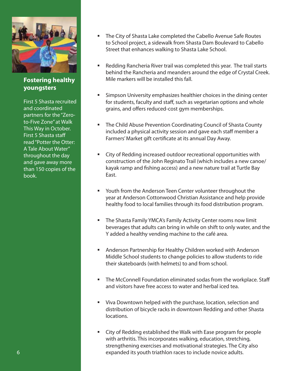

**Fostering healthy youngsters**

First 5 Shasta recruited and coordinated partners for the "Zeroto-Five Zone" at Walk This Way in October. First 5 Shasta staff read "Potter the Otter: A Tale About Water" throughout the day and gave away more than 150 copies of the book.

- The City of Shasta Lake completed the Cabello Avenue Safe Routes to School project, a sidewalk from Shasta Dam Boulevard to Cabello Street that enhances walking to Shasta Lake School.
- Redding Rancheria River trail was completed this year. The trail starts behind the Rancheria and meanders around the edge of Crystal Creek. Mile markers will be installed this fall.
- Simpson University emphasizes healthier choices in the dining center for students, faculty and staff, such as vegetarian options and whole grains, and offers reduced-cost gym memberships.
- The Child Abuse Prevention Coordinating Council of Shasta County included a physical activity session and gave each staff member a Farmers' Market gift certificate at its annual Day Away.
- City of Redding increased outdoor recreational opportunities with construction of the John Reginato Trail (which includes a new canoe/ kayak ramp and fishing access) and a new nature trail at Turtle Bay East.
- Youth from the Anderson Teen Center volunteer throughout the year at Anderson Cottonwood Christian Assistance and help provide healthy food to local families through its food distribution program.
- The Shasta Family YMCA's Family Activity Center rooms now limit beverages that adults can bring in while on shift to only water, and the Y added a healthy vending machine to the café area.
- Anderson Partnership for Healthy Children worked with Anderson Middle School students to change policies to allow students to ride their skateboards (with helmets) to and from school.
- **The McConnell Foundation eliminated sodas from the workplace. Staff** and visitors have free access to water and herbal iced tea.
- Viva Downtown helped with the purchase, location, selection and distribution of bicycle racks in downtown Redding and other Shasta locations.
- City of Redding established the Walk with Ease program for people with arthritis. This incorporates walking, education, stretching, strengthening exercises and motivational strategies. The City also expanded its youth triathlon races to include novice adults.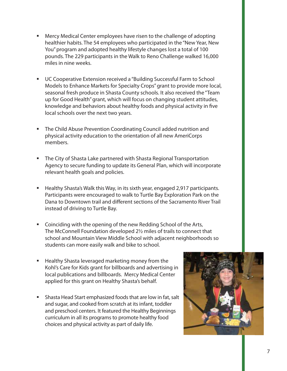- Mercy Medical Center employees have risen to the challenge of adopting healthier habits. The 54 employees who participated in the "New Year, New You" program and adopted healthy lifestyle changes lost a total of 100 pounds. The 229 participants in the Walk to Reno Challenge walked 16,000 miles in nine weeks.
- **UC Cooperative Extension received a "Building Successful Farm to School** Models to Enhance Markets for Specialty Crops" grant to provide more local, seasonal fresh produce in Shasta County schools. It also received the "Team up for Good Health" grant, which will focus on changing student attitudes, knowledge and behaviors about healthy foods and physical activity in five local schools over the next two years.
- **The Child Abuse Prevention Coordinating Council added nutrition and** physical activity education to the orientation of all new AmeriCorps members.
- The City of Shasta Lake partnered with Shasta Regional Transportation Agency to secure funding to update its General Plan, which will incorporate relevant health goals and policies.
- Healthy Shasta's Walk this Way, in its sixth year, engaged 2,917 participants. Participants were encouraged to walk to Turtle Bay Exploration Park on the Dana to Downtown trail and different sections of the Sacramento River Trail instead of driving to Turtle Bay.
- **EXECOINGLED UP 12 Coinciding with the opening of the new Redding School of the Arts,** The McConnell Foundation developed 2½ miles of trails to connect that school and Mountain View Middle School with adjacent neighborhoods so students can more easily walk and bike to school.
- Healthy Shasta leveraged marketing money from the Kohl's Care for Kids grant for billboards and advertising in local publications and billboards. Mercy Medical Center applied for this grant on Healthy Shasta's behalf.
- Shasta Head Start emphasized foods that are low in fat, salt and sugar, and cooked from scratch at its infant, toddler and preschool centers. It featured the Healthy Beginnings curriculum in all its programs to promote healthy food choices and physical activity as part of daily life.

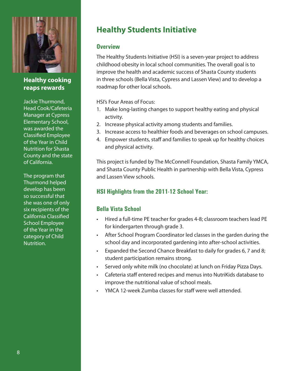

**Healthy cooking reaps rewards**

Jackie Thurmond, Head Cook/Cafeteria Manager at Cypress Elementary School, was awarded the Classified Employee of the Year in Child Nutrition for Shasta County and the state of California.

The program that Thurmond helped develop has been so successful that she was one of only six recipients of the California Classified School Employee of the Year in the category of Child Nutrition.

## **Healthy Students Initiative**

#### **Overview**

The Healthy Students Initiative (HSI) is a seven-year project to address childhood obesity in local school communities. The overall goal is to improve the health and academic success of Shasta County students in three schools (Bella Vista, Cypress and Lassen View) and to develop a roadmap for other local schools.

HSI's Four Areas of Focus:

- 1. Make long-lasting changes to support healthy eating and physical activity.
- 2. Increase physical activity among students and families.
- 3. Increase access to healthier foods and beverages on school campuses.
- 4. Empower students, staff and families to speak up for healthy choices and physical activity.

This project is funded by The McConnell Foundation, Shasta Family YMCA, and Shasta County Public Health in partnership with Bella Vista, Cypress and Lassen View schools.

### **HSI Highlights from the 2011-12 School Year:**

#### **Bella Vista School**

- Hired a full-time PE teacher for grades 4-8; classroom teachers lead PE for kindergarten through grade 3.
- After School Program Coordinator led classes in the garden during the school day and incorporated gardening into after-school activities.
- Expanded the Second Chance Breakfast to daily for grades 6, 7 and 8; student participation remains strong.
- Served only white milk (no chocolate) at lunch on Friday Pizza Days.
- Cafeteria staff entered recipes and menus into NutriKids database to improve the nutritional value of school meals.
- YMCA 12-week Zumba classes for staff were well attended.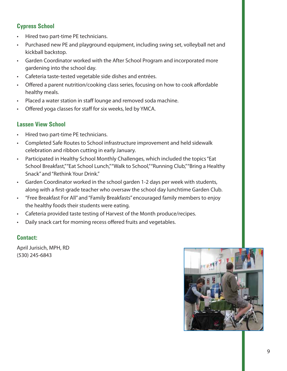#### **Cypress School**

- Hired two part-time PE technicians.
- Purchased new PE and playground equipment, including swing set, volleyball net and kickball backstop.
- Garden Coordinator worked with the After School Program and incorporated more gardening into the school day.
- Cafeteria taste-tested vegetable side dishes and entrées.
- Offered a parent nutrition/cooking class series, focusing on how to cook affordable healthy meals.
- Placed a water station in staff lounge and removed soda machine.
- Offered yoga classes for staff for six weeks, led by YMCA.

#### **Lassen View School**

- Hired two part-time PE technicians.
- t Completed Safe Routes to School infrastructure improvement and held sidewalk celebration and ribbon cutting in early January.
- Participated in Healthy School Monthly Challenges, which included the topics "Eat School Breakfast," "Eat School Lunch," "Walk to School," "Running Club," "Bring a Healthy Snack" and "Rethink Your Drink."
- Garden Coordinator worked in the school garden 1-2 days per week with students, along with a first-grade teacher who oversaw the school day lunchtime Garden Club.
- "Free Breakfast For All" and "Family Breakfasts" encouraged family members to enjoy the healthy foods their students were eating.
- Cafeteria provided taste testing of Harvest of the Month produce/recipes.
- Daily snack cart for morning recess offered fruits and vegetables.

#### **Contact:**

April Jurisich, MPH, RD (530) 245-6843

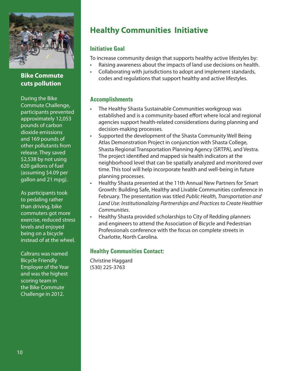

#### **Bike Commute cuts pollution**

During the Bike Commute Challenge, participants prevented approximately 12,053 pounds of carbon dioxide emissions and 169 pounds of other pollutants from release. They saved \$2,538 by not using 620 gallons of fuel (assuming \$4.09 per gallon and 21 mpg).

As participants took to pedaling rather than driving, bike commuters got more exercise, reduced stress levels and enjoyed being on a bicycle instead of at the wheel.

Caltrans was named Bicycle Friendly Employer of the Year and was the highest scoring team in the Bike Commute Challenge in 2012.

## **Healthy Communities Initiative**

#### **Initiative Goal**

To increase community design that supports healthy active lifestyles by:

- Raising awareness about the impacts of land use decisions on health.
- . Collaborating with jurisdictions to adopt and implement standards, codes and regulations that support healthy and active lifestyles.

#### **Accomplishments**

- The Healthy Shasta Sustainable Communities workgroup was established and is a community-based effort where local and regional agencies support health-related considerations during planning and decision-making processes.
- . Supported the development of the Shasta Community Well Being Atlas Demonstration Project in conjunction with Shasta College, Shasta Regional Transportation Planning Agency (SRTPA), and Vestra. The project identified and mapped six health indicators at the neighborhood level that can be spatially analyzed and monitored over time. This tool will help incorporate health and well-being in future planning processes.
- Healthy Shasta presented at the 11th Annual New Partners for Smart Growth: Building Safe, Healthy and Livable Communities conference in February. The presentation was titled Public Health, Transportation and Land Use: Institutionalizing Partnerships and Practices to Create Healthier Communities.
- Healthy Shasta provided scholarships to City of Redding planners and engineers to attend the Association of Bicycle and Pedestrian Professionals conference with the focus on complete streets in Charlotte, North Carolina.

#### **Healthy Communities Contact:**

Christine Haggard (530) 225-3763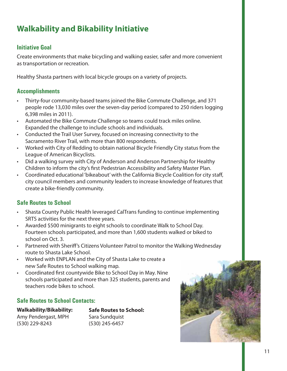## **Walkability and Bikability Initiative**

#### **Initiative Goal**

Create environments that make bicycling and walking easier, safer and more convenient as transportation or recreation.

Healthy Shasta partners with local bicycle groups on a variety of projects.

#### **Accomplishments**

- Thirty-four community-based teams joined the Bike Commute Challenge, and 371 people rode 13,030 miles over the seven-day period (compared to 250 riders logging 6,398 miles in 2011).
- Automated the Bike Commute Challenge so teams could track miles online. Expanded the challenge to include schools and individuals.
- Conducted the Trail User Survey, focused on increasing connectivity to the Sacramento River Trail, with more than 800 respondents.
- Worked with City of Redding to obtain national Bicycle Friendly City status from the League of American Bicyclists.
- Did a walking survey with City of Anderson and Anderson Partnership for Healthy Children to inform the city's first Pedestrian Accessibility and Safety Master Plan.
- Coordinated educational 'bikeabout' with the California Bicycle Coalition for city staff, city council members and community leaders to increase knowledge of features that create a bike-friendly community.

#### **Safe Routes to School**

- Shasta County Public Health leveraged CalTrans funding to continue implementing SRTS activities for the next three years.
- $\cdot$  Awarded \$500 minigrants to eight schools to coordinate Walk to School Day. Fourteen schools participated, and more than 1,600 students walked or biked to school on Oct. 3.
- Partnered with Sheriff's Citizens Volunteer Patrol to monitor the Walking Wednesday route to Shasta Lake School.
- Worked with ENPLAN and the City of Shasta Lake to create a new Safe Routes to School walking map.
- Coordinated first countywide Bike to School Day in May. Nine schools participated and more than 325 students, parents and teachers rode bikes to school.

#### **Safe Routes to School Contacts:**

**Walkability/Bikability:** Amy Pendergast, MPH (530) 229-8243

**Safe Routes to School:** Sara Sundquist (530) 245-6457

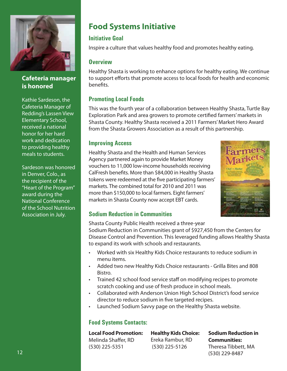

#### **Cafeteria manager is honored**

Kathie Sardeson, the Cafeteria Manager of Redding's Lassen View Elementary School, received a national honor for her hard work and dedication to providing healthy meals to students.

Sardeson was honored in Denver, Colo., as the recipient of the "Heart of the Program" award during the National Conference of the School Nutrition Association in July.

## **Food Systems Initiative**

#### **Initiative Goal**

Inspire a culture that values healthy food and promotes healthy eating.

#### **Overview**

Healthy Shasta is working to enhance options for healthy eating. We continue to support efforts that promote access to local foods for health and economic benefits.

#### **Promoting Local Foods**

This was the fourth year of a collaboration between Healthy Shasta, Turtle Bay Exploration Park and area growers to promote certified farmers' markets in Shasta County. Healthy Shasta received a 2011 Farmers' Market Hero Award from the Shasta Growers Association as a result of this partnership.

#### **Improving Access**

Healthy Shasta and the Health and Human Services Agency partnered again to provide Market Money vouchers to 11,000 low-income households receiving CalFresh benefits. More than \$84,000 in Healthy Shasta tokens were redeemed at the five participating farmers' markets. The combined total for 2010 and 2011 was more than \$150,000 to local farmers. Eight farmers' markets in Shasta County now accept EBT cards.



#### **Sodium Reduction in Communities**

Shasta County Public Health received a three-year

Sodium Reduction in Communities grant of \$927,450 from the Centers for Disease Control and Prevention. This leveraged funding allows Healthy Shasta to expand its work with schools and restaurants.

- Worked with six Healthy Kids Choice restaurants to reduce sodium in menu items.
- Added two new Healthy Kids Choice restaurants Grilla Bites and 808 Bistro.
- Trained 42 school food service staff on modifying recipes to promote scratch cooking and use of fresh produce in school meals.
- t Collaborated with Anderson Union High School District's food service director to reduce sodium in five targeted recipes.
- Launched Sodium Savvy page on the Healthy Shasta website.

#### **Food Systems Contacts:**

**Local Food Promotion:** Melinda Shaffer, RD (530) 225-5351

**Healthy Kids Choice:** Ereka Rambur, RD (530) 225-5126

**Sodium Reduction in Communities:** Theresa Tibbett, MA (530) 229-8487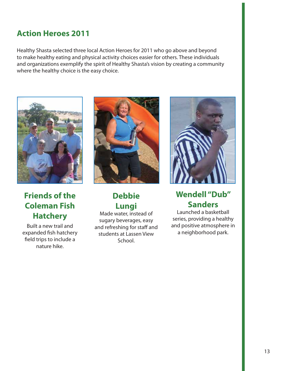## **Action Heroes 2011**

Healthy Shasta selected three local Action Heroes for 2011 who go above and beyond to make healthy eating and physical activity choices easier for others. These individuals and organizations exemplify the spirit of Healthy Shasta's vision by creating a community where the healthy choice is the easy choice.



## **Friends of the Coleman Fish Hatchery**

Built a new trail and expanded fish hatchery field trips to include a nature hike.



## **Debbie Lungi**

Made water, instead of sugary beverages, easy and refreshing for staff and students at Lassen View School.



## **Wendell "Dub" Sanders**

Launched a basketball series, providing a healthy and positive atmosphere in a neighborhood park.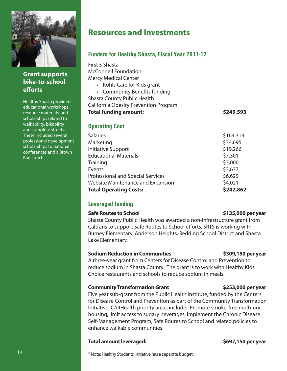

**Grant supports bike-to-school efforts**

Healthy Shasta provided educational workshops, resource materials, and scholarships related to walkability, bikability and complete streets. These included several professional development scholarships to national conferences and a Brown Bag Lunch.

## **Resources and Investments**

**Funders for Healthy Shasta, Fiscal Year 2011-12**

| First 5 Shasta<br><b>McConnell Foundation</b><br><b>Mercy Medical Center</b><br>• Kohls Care for Kids grant<br><b>Community Benefits funding</b><br>$\bullet$<br><b>Shasta County Public Health</b><br>California Obesity Prevention Program<br><b>Total funding amount:</b> | \$249,593 |
|------------------------------------------------------------------------------------------------------------------------------------------------------------------------------------------------------------------------------------------------------------------------------|-----------|
| <b>Operating Cost</b>                                                                                                                                                                                                                                                        |           |
| <b>Salaries</b>                                                                                                                                                                                                                                                              | \$164,313 |
| Marketing                                                                                                                                                                                                                                                                    | \$34,695  |
| <b>Initiative Support</b>                                                                                                                                                                                                                                                    | \$19,266  |
| <b>Educational Materials</b>                                                                                                                                                                                                                                                 | \$7,301   |
| Training                                                                                                                                                                                                                                                                     | \$3,000   |
| Events                                                                                                                                                                                                                                                                       | \$3,637   |
| <b>Professional and Special Services</b>                                                                                                                                                                                                                                     | \$6,629   |
| Website Maintenance and Expansion                                                                                                                                                                                                                                            | \$4,021   |
| <b>Total Operating Costs:</b>                                                                                                                                                                                                                                                | \$242,862 |

#### **Leveraged funding**

#### **Safe Routes to School \$135,000 per year**

Shasta County Public Health was awarded a non-infrastructure grant from Caltrans to support Safe Routes to School efforts. SRTS is working with Burney Elementary, Anderson Heights, Redding School District and Shasta Lake Elementary.

#### **Sodium Reduction in Communities \$309,150 per year**

A three-year grant from Centers for Disease Control and Prevention to reduce sodium in Shasta County. The grant is to work with Healthy Kids Choice restaurants and schools to reduce sodium in meals.

#### **Community Transformation Grant 61 community Transformation Grant 6253,000 per year**

Five year sub-grant from the Public Health Institute, funded by the Centers for Disease Control and Prevention as part of the Community Transformation Initiative. CA4Health priority areas include: Promote smoke-free multi-unit housing, limit access to sugary beverages, implement the Chronic Disease Self-Management Program, Safe Routes to School and related policies to enhance walkable communities.

#### **Total amount leveraged: \$697,150 per year**

\* Note: Healthy Students Initiative has a separate budget.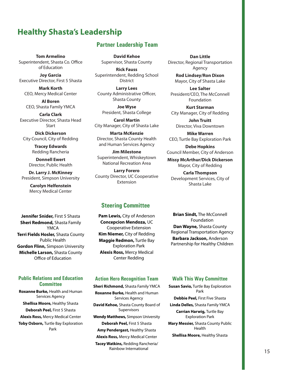## **Healthy Shasta's Leadership**

**Tom Armelino** Superintendent, Shasta Co. Office of Education

**Joy Garcia** Executive Director, First 5 Shasta

**Mark Korth** CEO, Mercy Medical Center

**Al Boren** CEO, Shasta Family YMCA

**Carla Clark** Executive Director, Shasta Head Start

**Dick Dickerson** City Council, City of Redding

> **Tracey Edwards** Redding Rancheria

**Donnell Ewert** Director, Public Health

**Dr. Larry J. McKinney** President, Simpson University

> **Carolyn Helfenstein** Mercy Medical Center

**Jennifer Snider,** First 5 Shasta **Sheri Redmond,** Shasta Family YMCA **Terri Fields Hosler,** Shasta County Public Health **Gordon Flinn,** Simpson University **Michelle Larson,** Shasta County Office of Education

#### **Committee Public Relations and Education**

**Roxanne Burke,** Health and Human Services Agency **Shellisa Moore,** Healthy Shasta **Deborah Peel,** First 5 Shasta **Alexis Ross,** Mercy Medical Center **Toby Osborn,** Turtle Bay Exploration Park

#### **Partner Leadership Team**

**David Kehoe** Supervisor, Shasta County

**Rick Fauss** Superintendent, Redding School District

**Larry Lees** County Administrative Officer, Shasta County

**Joe Wyse** President, Shasta College

**Carol Martin** City Manager, City of Shasta Lake

**Marta McKenzie** Director, Shasta County Health and Human Services Agency

**Jim Milestone** Superintendent, Whiskeytown National Recreation Area

**Larry Forero** County Director, UC Cooperative Extension

**Dan Little** Director, Regional Transportation Agency

**Rod Lindsey/Ron Dixon** Mayor, City of Shasta Lake

**Lee Salter** President/CEO, The McConnell Foundation

**Kurt Starman** City Manager, City of Redding

**John Truitt** Director, Viva Downtown

**Mike Warren** CEO, Turtle Bay Exploration Park

**Debe Hopkins** Council Member, City of Anderson

**Missy McArthur/Dick Dickerson** Mayor, City of Redding

**Carla Thompson** Development Services, City of Shasta Lake

#### **Steering Committee**

**Pam Lewis,** City of Anderson **Concepcion Mendoza,** UC Cooperative Extension **Kim Niemer,** City of Redding **Maggie Redmon,** Turtle Bay Exploration Park **Alexis Ross,** Mercy Medical Center Redding

**Brian Sindt,** The McConnell Foundation **Dan Wayne,** Shasta County Regional Transportation Agency **Barbara Jackson,** Anderson Partnership for Healthy Children

#### **Action Hero Recognition Team**

**Sheri Richmond,** Shasta Family YMCA **Roxanne Burke,** Health and Human Services Agency **David Kehoe,** Shasta County Board of Supervisors **Wendy Matthews,** Simpson University **Deborah Peel,** First 5 Shasta **Amy Pendergast,** Healthy Shasta **Alexis Ross,** Mercy Medical Center **Tacey Watkins,** Redding Rancheria/ Rainbow International

#### **Walk This Way Committee**

**Susan Savio,** Turtle Bay Exploration Park

**Debbie Peel,** First Five Shasta

**Linda Delles,** Shasta Family YMCA **Carrian Harwig,** Turtle Bay Exploration Park

**Mary Messier,** Shasta County Public Health

**Shellisa Moore,** Healthy Shasta